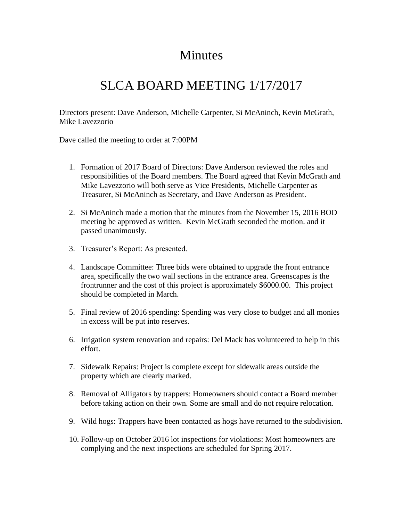## Minutes

## SLCA BOARD MEETING 1/17/2017

Directors present: Dave Anderson, Michelle Carpenter, Si McAninch, Kevin McGrath, Mike Lavezzorio

Dave called the meeting to order at 7:00PM

- 1. Formation of 2017 Board of Directors: Dave Anderson reviewed the roles and responsibilities of the Board members. The Board agreed that Kevin McGrath and Mike Lavezzorio will both serve as Vice Presidents, Michelle Carpenter as Treasurer, Si McAninch as Secretary, and Dave Anderson as President.
- 2. Si McAninch made a motion that the minutes from the November 15, 2016 BOD meeting be approved as written. Kevin McGrath seconded the motion. and it passed unanimously.
- 3. Treasurer's Report: As presented.
- 4. Landscape Committee: Three bids were obtained to upgrade the front entrance area, specifically the two wall sections in the entrance area. Greenscapes is the frontrunner and the cost of this project is approximately \$6000.00. This project should be completed in March.
- 5. Final review of 2016 spending: Spending was very close to budget and all monies in excess will be put into reserves.
- 6. Irrigation system renovation and repairs: Del Mack has volunteered to help in this effort.
- 7. Sidewalk Repairs: Project is complete except for sidewalk areas outside the property which are clearly marked.
- 8. Removal of Alligators by trappers: Homeowners should contact a Board member before taking action on their own. Some are small and do not require relocation.
- 9. Wild hogs: Trappers have been contacted as hogs have returned to the subdivision.
- 10. Follow-up on October 2016 lot inspections for violations: Most homeowners are complying and the next inspections are scheduled for Spring 2017.